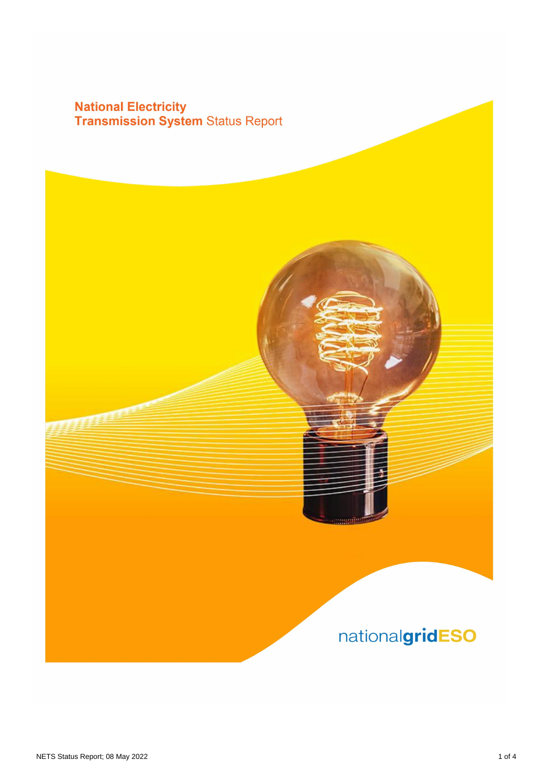## **National Electricity<br>Transmission System Status Report**

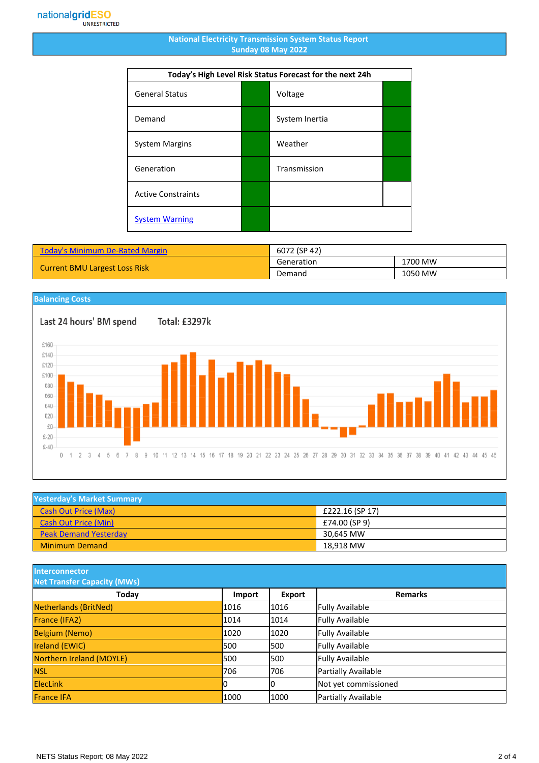## **National Electricity Transmission System Status Report Sunday 08 May 2022**

| Today's High Level Risk Status Forecast for the next 24h |  |                |  |
|----------------------------------------------------------|--|----------------|--|
| <b>General Status</b>                                    |  | Voltage        |  |
| Demand                                                   |  | System Inertia |  |
| <b>System Margins</b>                                    |  | Weather        |  |
| Generation                                               |  | Transmission   |  |
| <b>Active Constraints</b>                                |  |                |  |
| <b>System Warning</b>                                    |  |                |  |

| <b>Today's Minimum De-Rated Margin</b> | 6072 (SP 42) |         |
|----------------------------------------|--------------|---------|
| <b>Current BMU Largest Loss Risk</b>   | Generation   | 1700 MW |
|                                        | Demand       | 1050 MW |

## **Balancing Costs**

Last 24 hours' BM spend

Total: £3297k



| <b>Yesterday's Market Summary</b> |                 |  |
|-----------------------------------|-----------------|--|
| <b>Cash Out Price (Max)</b>       | £222.16 (SP 17) |  |
| <b>Cash Out Price (Min)</b>       | £74.00 (SP 9)   |  |
| <b>Peak Demand Yesterday</b>      | 30.645 MW       |  |
| <b>Minimum Demand</b>             | 18.918 MW       |  |

**Interconnector**

| <b>Net Transfer Capacity (MWs)</b> |        |               |                        |
|------------------------------------|--------|---------------|------------------------|
| Today                              | Import | <b>Export</b> | <b>Remarks</b>         |
| Netherlands (BritNed)              | 1016   | 1016          | <b>Fully Available</b> |
| France (IFA2)                      | 1014   | 1014          | <b>Fully Available</b> |
| <b>Belgium (Nemo)</b>              | 1020   | 1020          | <b>Fully Available</b> |
| Ireland (EWIC)                     | 500    | 1500          | <b>Fully Available</b> |
| Northern Ireland (MOYLE)           | 500    | 1500          | <b>Fully Available</b> |
| <b>NSL</b>                         | 706    | 706           | Partially Available    |
| <b>ElecLink</b>                    |        | IО            | Not yet commissioned   |
| <b>France IFA</b>                  | 1000   | 1000          | Partially Available    |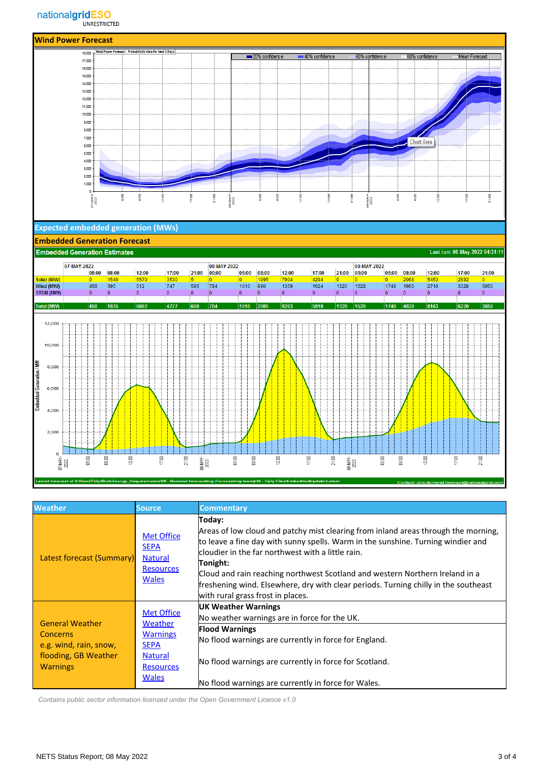

| <b>Weather</b>                                                                                                                                                                                                  | <b>Source</b>                                                                          | <b>Commentary</b>                                                                                                                                                                                                                                                                                                                                                                                                                                              |
|-----------------------------------------------------------------------------------------------------------------------------------------------------------------------------------------------------------------|----------------------------------------------------------------------------------------|----------------------------------------------------------------------------------------------------------------------------------------------------------------------------------------------------------------------------------------------------------------------------------------------------------------------------------------------------------------------------------------------------------------------------------------------------------------|
| <b>Latest forecast (Summary)</b>                                                                                                                                                                                | <b>Met Office</b><br><b>SEPA</b><br><b>Natural</b><br><b>Resources</b><br><b>Wales</b> | Today:<br>Areas of low cloud and patchy mist clearing from inland areas through the morning,<br>to leave a fine day with sunny spells. Warm in the sunshine. Turning windier and<br>lcloudier in the far northwest with a little rain.<br>Tonight:<br>Cloud and rain reaching northwest Scotland and western Northern Ireland in a<br>freshening wind. Elsewhere, dry with clear periods. Turning chilly in the southeast<br>with rural grass frost in places. |
| <b>Met Office</b><br><b>General Weather</b><br>Weather<br><b>Warnings</b><br>Concerns<br>e.g. wind, rain, snow,<br><b>SEPA</b><br>flooding, GB Weather<br><b>Natural</b><br><b>Warnings</b><br><b>Resources</b> |                                                                                        | <b>UK Weather Warnings</b><br>No weather warnings are in force for the UK.                                                                                                                                                                                                                                                                                                                                                                                     |
|                                                                                                                                                                                                                 | <b>Flood Warnings</b><br>No flood warnings are currently in force for England.         |                                                                                                                                                                                                                                                                                                                                                                                                                                                                |
|                                                                                                                                                                                                                 |                                                                                        | No flood warnings are currently in force for Scotland.                                                                                                                                                                                                                                                                                                                                                                                                         |
|                                                                                                                                                                                                                 | <b>Wales</b>                                                                           | No flood warnings are currently in force for Wales.                                                                                                                                                                                                                                                                                                                                                                                                            |

 *Contains public sector information licensed under the Open Government Licence v1.0*